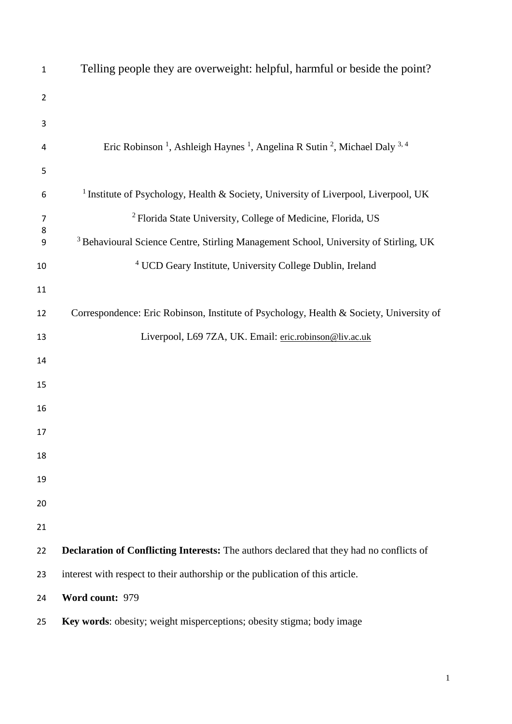| $\mathbf 1$    | Telling people they are overweight: helpful, harmful or beside the point?                                               |
|----------------|-------------------------------------------------------------------------------------------------------------------------|
| $\overline{2}$ |                                                                                                                         |
| 3              |                                                                                                                         |
| 4              | Eric Robinson <sup>1</sup> , Ashleigh Haynes <sup>1</sup> , Angelina R Sutin <sup>2</sup> , Michael Daly <sup>3,4</sup> |
| 5              |                                                                                                                         |
| 6              | <sup>1</sup> Institute of Psychology, Health & Society, University of Liverpool, Liverpool, UK                          |
| 7              | <sup>2</sup> Florida State University, College of Medicine, Florida, US                                                 |
| 8<br>9         | <sup>3</sup> Behavioural Science Centre, Stirling Management School, University of Stirling, UK                         |
| 10             | <sup>4</sup> UCD Geary Institute, University College Dublin, Ireland                                                    |
| 11             |                                                                                                                         |
| 12             | Correspondence: Eric Robinson, Institute of Psychology, Health & Society, University of                                 |
| 13             | Liverpool, L69 7ZA, UK. Email: eric.robinson@liv.ac.uk                                                                  |
| 14             |                                                                                                                         |
| 15             |                                                                                                                         |
| 16             |                                                                                                                         |
| 17             |                                                                                                                         |
| 18             |                                                                                                                         |
| 19             |                                                                                                                         |
| 20             |                                                                                                                         |
| 21             |                                                                                                                         |
| 22             | <b>Declaration of Conflicting Interests:</b> The authors declared that they had no conflicts of                         |
| 23             | interest with respect to their authorship or the publication of this article.                                           |
| 24             | Word count: 979                                                                                                         |
|                |                                                                                                                         |

**Key words**: obesity; weight misperceptions; obesity stigma; body image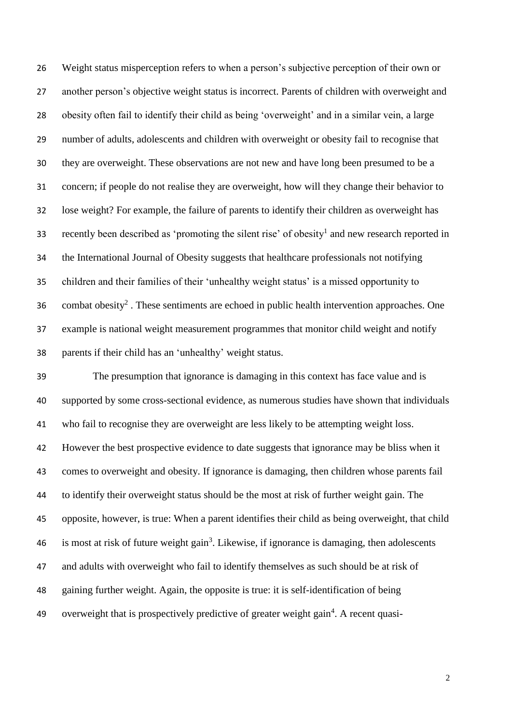Weight status misperception refers to when a person's subjective perception of their own or another person's objective weight status is incorrect. Parents of children with overweight and obesity often fail to identify their child as being 'overweight' and in a similar vein, a large number of adults, adolescents and children with overweight or obesity fail to recognise that they are overweight. These observations are not new and have long been presumed to be a concern; if people do not realise they are overweight, how will they change their behavior to lose weight? For example, the failure of parents to identify their children as overweight has 33 recently been described as 'promoting the silent rise' of obesity<sup>1</sup> and new research reported in the International Journal of Obesity suggests that healthcare professionals not notifying children and their families of their 'unhealthy weight status' is a missed opportunity to 36 combat obesity<sup>2</sup>. These sentiments are echoed in public health intervention approaches. One example is national weight measurement programmes that monitor child weight and notify parents if their child has an 'unhealthy' weight status.

 The presumption that ignorance is damaging in this context has face value and is supported by some cross-sectional evidence, as numerous studies have shown that individuals who fail to recognise they are overweight are less likely to be attempting weight loss. However the best prospective evidence to date suggests that ignorance may be bliss when it comes to overweight and obesity. If ignorance is damaging, then children whose parents fail to identify their overweight status should be the most at risk of further weight gain. The opposite, however, is true: When a parent identifies their child as being overweight, that child 46 is most at risk of future weight gain<sup>3</sup>. Likewise, if ignorance is damaging, then adolescents and adults with overweight who fail to identify themselves as such should be at risk of gaining further weight. Again, the opposite is true: it is self-identification of being 49 overweight that is prospectively predictive of greater weight gain<sup>4</sup>. A recent quasi-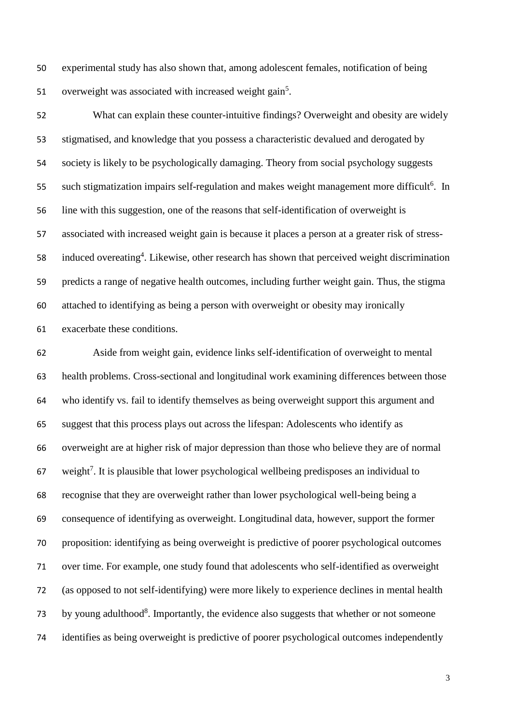experimental study has also shown that, among adolescent females, notification of being 51 overweight was associated with increased weight gain<sup>5</sup>.

 What can explain these counter-intuitive findings? Overweight and obesity are widely stigmatised, and knowledge that you possess a characteristic devalued and derogated by society is likely to be psychologically damaging. Theory from social psychology suggests 55 such stigmatization impairs self-regulation and makes weight management more difficult<sup>6</sup>. In line with this suggestion, one of the reasons that self-identification of overweight is associated with increased weight gain is because it places a person at a greater risk of stress-58 induced overeating<sup>4</sup>. Likewise, other research has shown that perceived weight discrimination predicts a range of negative health outcomes, including further weight gain. Thus, the stigma attached to identifying as being a person with overweight or obesity may ironically exacerbate these conditions.

 Aside from weight gain, evidence links self-identification of overweight to mental health problems. Cross-sectional and longitudinal work examining differences between those who identify vs. fail to identify themselves as being overweight support this argument and suggest that this process plays out across the lifespan: Adolescents who identify as overweight are at higher risk of major depression than those who believe they are of normal weight<sup>7</sup>. It is plausible that lower psychological wellbeing predisposes an individual to recognise that they are overweight rather than lower psychological well-being being a consequence of identifying as overweight. Longitudinal data, however, support the former proposition: identifying as being overweight is predictive of poorer psychological outcomes over time. For example, one study found that adolescents who self-identified as overweight (as opposed to not self-identifying) were more likely to experience declines in mental health 73 by young adulthood<sup>8</sup>. Importantly, the evidence also suggests that whether or not someone identifies as being overweight is predictive of poorer psychological outcomes independently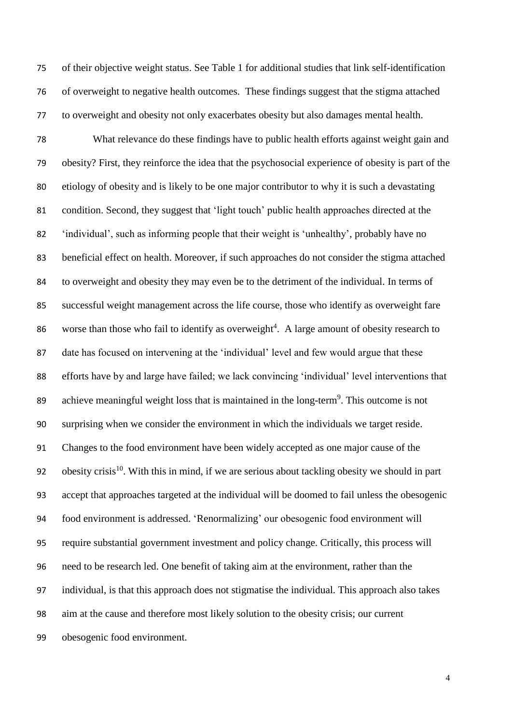of their objective weight status. See Table 1 for additional studies that link self-identification of overweight to negative health outcomes. These findings suggest that the stigma attached to overweight and obesity not only exacerbates obesity but also damages mental health.

 What relevance do these findings have to public health efforts against weight gain and obesity? First, they reinforce the idea that the psychosocial experience of obesity is part of the etiology of obesity and is likely to be one major contributor to why it is such a devastating condition. Second, they suggest that 'light touch' public health approaches directed at the 'individual', such as informing people that their weight is 'unhealthy', probably have no beneficial effect on health. Moreover, if such approaches do not consider the stigma attached to overweight and obesity they may even be to the detriment of the individual. In terms of successful weight management across the life course, those who identify as overweight fare 86 worse than those who fail to identify as overweight<sup>4</sup>. A large amount of obesity research to date has focused on intervening at the 'individual' level and few would argue that these efforts have by and large have failed; we lack convincing 'individual' level interventions that 89 achieve meaningful weight loss that is maintained in the long-term<sup>9</sup>. This outcome is not surprising when we consider the environment in which the individuals we target reside. Changes to the food environment have been widely accepted as one major cause of the 92 . obesity crisis<sup>10</sup>. With this in mind, if we are serious about tackling obesity we should in part accept that approaches targeted at the individual will be doomed to fail unless the obesogenic food environment is addressed. 'Renormalizing' our obesogenic food environment will require substantial government investment and policy change. Critically, this process will need to be research led. One benefit of taking aim at the environment, rather than the individual, is that this approach does not stigmatise the individual. This approach also takes aim at the cause and therefore most likely solution to the obesity crisis; our current obesogenic food environment.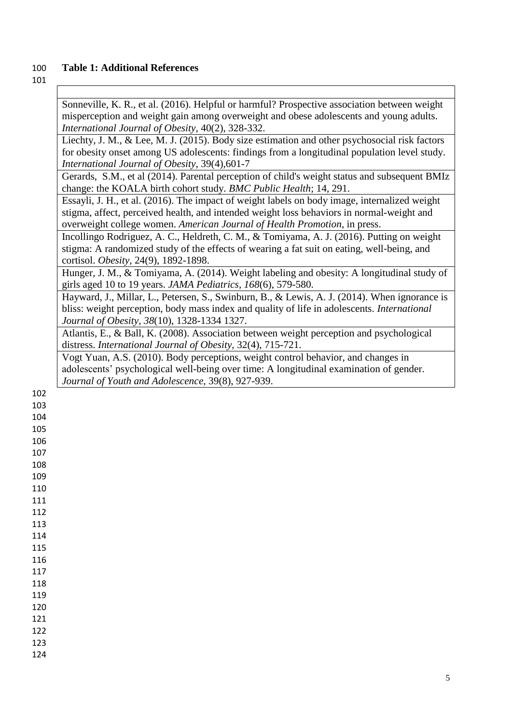## 100 **Table 1: Additional References**

## 101

 $\overline{\phantom{a}}$ 

|     | Sonneville, K. R., et al. (2016). Helpful or harmful? Prospective association between weight                                                                       |
|-----|--------------------------------------------------------------------------------------------------------------------------------------------------------------------|
|     | misperception and weight gain among overweight and obese adolescents and young adults.                                                                             |
|     | International Journal of Obesity, 40(2), 328-332.                                                                                                                  |
|     | Liechty, J. M., & Lee, M. J. (2015). Body size estimation and other psychosocial risk factors                                                                      |
|     | for obesity onset among US adolescents: findings from a longitudinal population level study.                                                                       |
|     | International Journal of Obesity, 39(4), 601-7                                                                                                                     |
|     | Gerards, S.M., et al (2014). Parental perception of child's weight status and subsequent BMIz<br>change: the KOALA birth cohort study. BMC Public Health; 14, 291. |
|     | Essayli, J. H., et al. (2016). The impact of weight labels on body image, internalized weight                                                                      |
|     | stigma, affect, perceived health, and intended weight loss behaviors in normal-weight and                                                                          |
|     | overweight college women. American Journal of Health Promotion, in press.                                                                                          |
|     | Incollingo Rodriguez, A. C., Heldreth, C. M., & Tomiyama, A. J. (2016). Putting on weight                                                                          |
|     | stigma: A randomized study of the effects of wearing a fat suit on eating, well-being, and                                                                         |
|     | cortisol. Obesity, 24(9), 1892-1898.                                                                                                                               |
|     | Hunger, J. M., & Tomiyama, A. (2014). Weight labeling and obesity: A longitudinal study of<br>girls aged 10 to 19 years. JAMA Pediatrics, 168(6), 579-580.         |
|     | Hayward, J., Millar, L., Petersen, S., Swinburn, B., & Lewis, A. J. (2014). When ignorance is                                                                      |
|     | bliss: weight perception, body mass index and quality of life in adolescents. International                                                                        |
|     | Journal of Obesity, 38(10), 1328-1334 1327.                                                                                                                        |
|     | Atlantis, E., & Ball, K. (2008). Association between weight perception and psychological                                                                           |
|     | distress. International Journal of Obesity, 32(4), 715-721.                                                                                                        |
|     | Vogt Yuan, A.S. (2010). Body perceptions, weight control behavior, and changes in                                                                                  |
|     | adolescents' psychological well-being over time: A longitudinal examination of gender.                                                                             |
|     | Journal of Youth and Adolescence, 39(8), 927-939.                                                                                                                  |
| 102 |                                                                                                                                                                    |
| 103 |                                                                                                                                                                    |
| 104 |                                                                                                                                                                    |
| 105 |                                                                                                                                                                    |
| 106 |                                                                                                                                                                    |
| 107 |                                                                                                                                                                    |
| 108 |                                                                                                                                                                    |
| 109 |                                                                                                                                                                    |
| 110 |                                                                                                                                                                    |
| 111 |                                                                                                                                                                    |
| 112 |                                                                                                                                                                    |
| 113 |                                                                                                                                                                    |
| 114 |                                                                                                                                                                    |
| 115 |                                                                                                                                                                    |
| 116 |                                                                                                                                                                    |
| 117 |                                                                                                                                                                    |
| 118 |                                                                                                                                                                    |
| 119 |                                                                                                                                                                    |
| 120 |                                                                                                                                                                    |
| 121 |                                                                                                                                                                    |
| 122 |                                                                                                                                                                    |
| 123 |                                                                                                                                                                    |
| 124 |                                                                                                                                                                    |
|     |                                                                                                                                                                    |